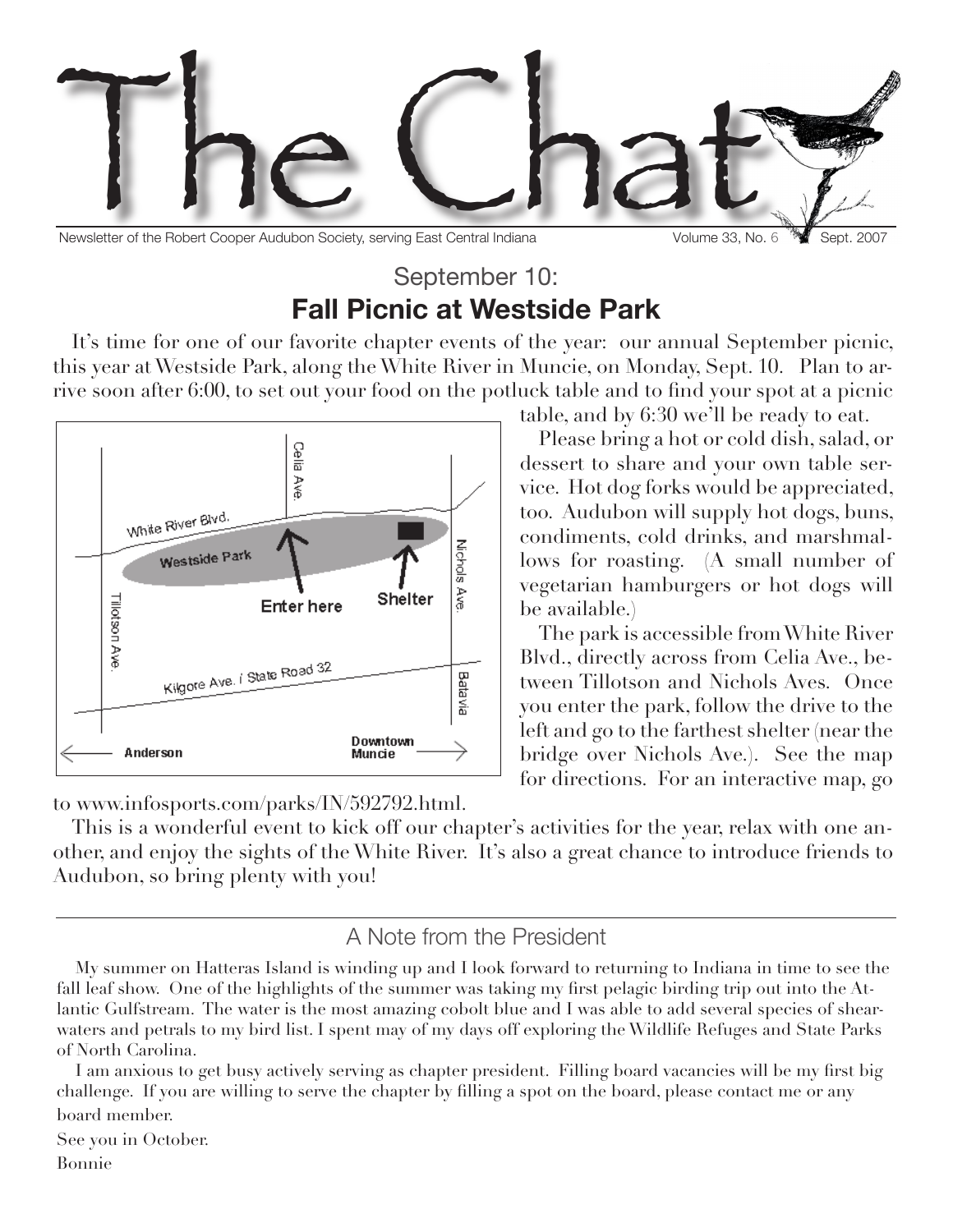

Newsletter of the Robert Cooper Audubon Society, serving East Central Indiana Volume 33, No. 6 West. 2007

Please bring a hot or cold dish, salad, or dessert to share and your own table service. Hot dog forks would be appreciated, too. Audubon will supply hot dogs, buns, condiments, cold drinks, and marshmallows for roasting. (A small number of vegetarian hamburgers or hot dogs will

The park is accessible from White River Blvd., directly across from Celia Ave., between Tillotson and Nichols Aves. Once you enter the park, follow the drive to the left and go to the farthest shelter (near the bridge over Nichols Ave.). See the map for directions. For an interactive map, go

### September 10: **Fall Picnic at Westside Park**

It's time for one of our favorite chapter events of the year: our annual September picnic, this year at Westside Park, along the White River in Muncie, on Monday, Sept. 10. Plan to arrive soon after 6:00, to set out your food on the potluck table and to find your spot at a picnic table, and by 6:30 we'll be ready to eat.



to www.infosports.com/parks/IN/592792.html.

This is a wonderful event to kick off our chapter's activities for the year, relax with one another, and enjoy the sights of the White River. It's also a great chance to introduce friends to Audubon, so bring plenty with you!

be available.)

#### A Note from the President

My summer on Hatteras Island is winding up and I look forward to returning to Indiana in time to see the fall leaf show. One of the highlights of the summer was taking my first pelagic birding trip out into the Atlantic Gulfstream. The water is the most amazing cobolt blue and I was able to add several species of shearwaters and petrals to my bird list. I spent may of my days off exploring the Wildlife Refuges and State Parks of North Carolina.

I am anxious to get busy actively serving as chapter president. Filling board vacancies will be my first big challenge. If you are willing to serve the chapter by filling a spot on the board, please contact me or any board member.

See you in October.

Bonnie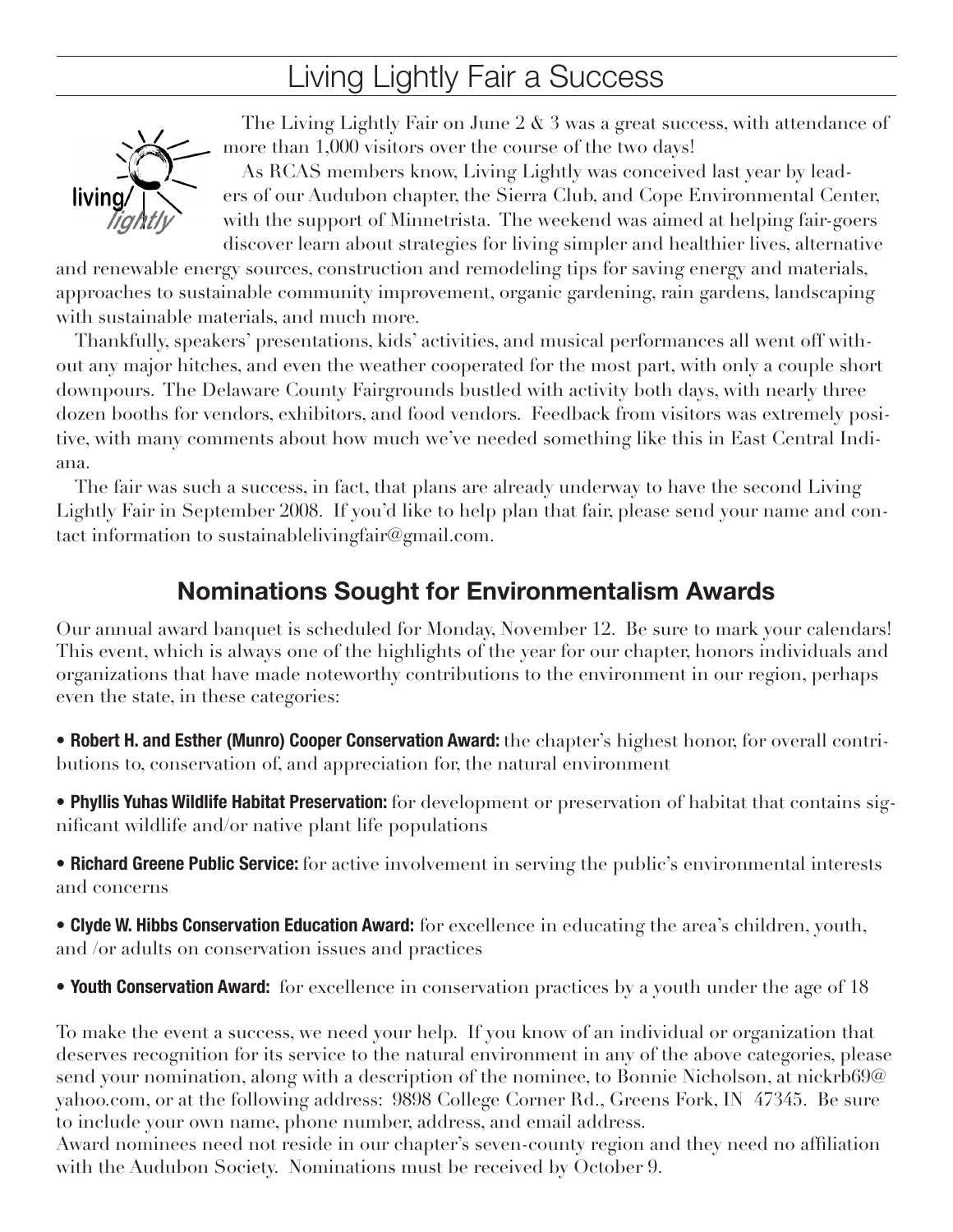# Living Lightly Fair a Success



The Living Lightly Fair on June 2  $\&$  3 was a great success, with attendance of more than 1,000 visitors over the course of the two days!

As RCAS members know, Living Lightly was conceived last year by leaders of our Audubon chapter, the Sierra Club, and Cope Environmental Center, with the support of Minnetrista. The weekend was aimed at helping fair-goers discover learn about strategies for living simpler and healthier lives, alternative

and renewable energy sources, construction and remodeling tips for saving energy and materials, approaches to sustainable community improvement, organic gardening, rain gardens, landscaping with sustainable materials, and much more.

Thankfully, speakers' presentations, kids' activities, and musical performances all went off without any major hitches, and even the weather cooperated for the most part, with only a couple short downpours. The Delaware County Fairgrounds bustled with activity both days, with nearly three dozen booths for vendors, exhibitors, and food vendors. Feedback from visitors was extremely positive, with many comments about how much we've needed something like this in East Central Indiana.

The fair was such a success, in fact, that plans are already underway to have the second Living Lightly Fair in September 2008. If you'd like to help plan that fair, please send your name and contact information to sustainablelivingfair@gmail.com.

### **Nominations Sought for Environmentalism Awards**

Our annual award banquet is scheduled for Monday, November 12. Be sure to mark your calendars! This event, which is always one of the highlights of the year for our chapter, honors individuals and organizations that have made noteworthy contributions to the environment in our region, perhaps even the state, in these categories:

• **Robert H. and Esther (Munro) Cooper Conservation Award:** the chapter's highest honor, for overall contributions to, conservation of, and appreciation for, the natural environment

• **Phyllis Yuhas Wildlife Habitat Preservation:** for development or preservation of habitat that contains significant wildlife and/or native plant life populations

• **Richard Greene Public Service:** for active involvement in serving the public's environmental interests and concerns

• **Clyde W. Hibbs Conservation Education Award:** for excellence in educating the area's children, youth, and /or adults on conservation issues and practices

• **Youth Conservation Award:** for excellence in conservation practices by a youth under the age of 18

To make the event a success, we need your help. If you know of an individual or organization that deserves recognition for its service to the natural environment in any of the above categories, please send your nomination, along with a description of the nominee, to Bonnie Nicholson, at nickrb69@ yahoo.com, or at the following address: 9898 College Corner Rd., Greens Fork, IN 47345. Be sure to include your own name, phone number, address, and email address.

Award nominees need not reside in our chapter's seven-county region and they need no affiliation with the Audubon Society. Nominations must be received by October 9.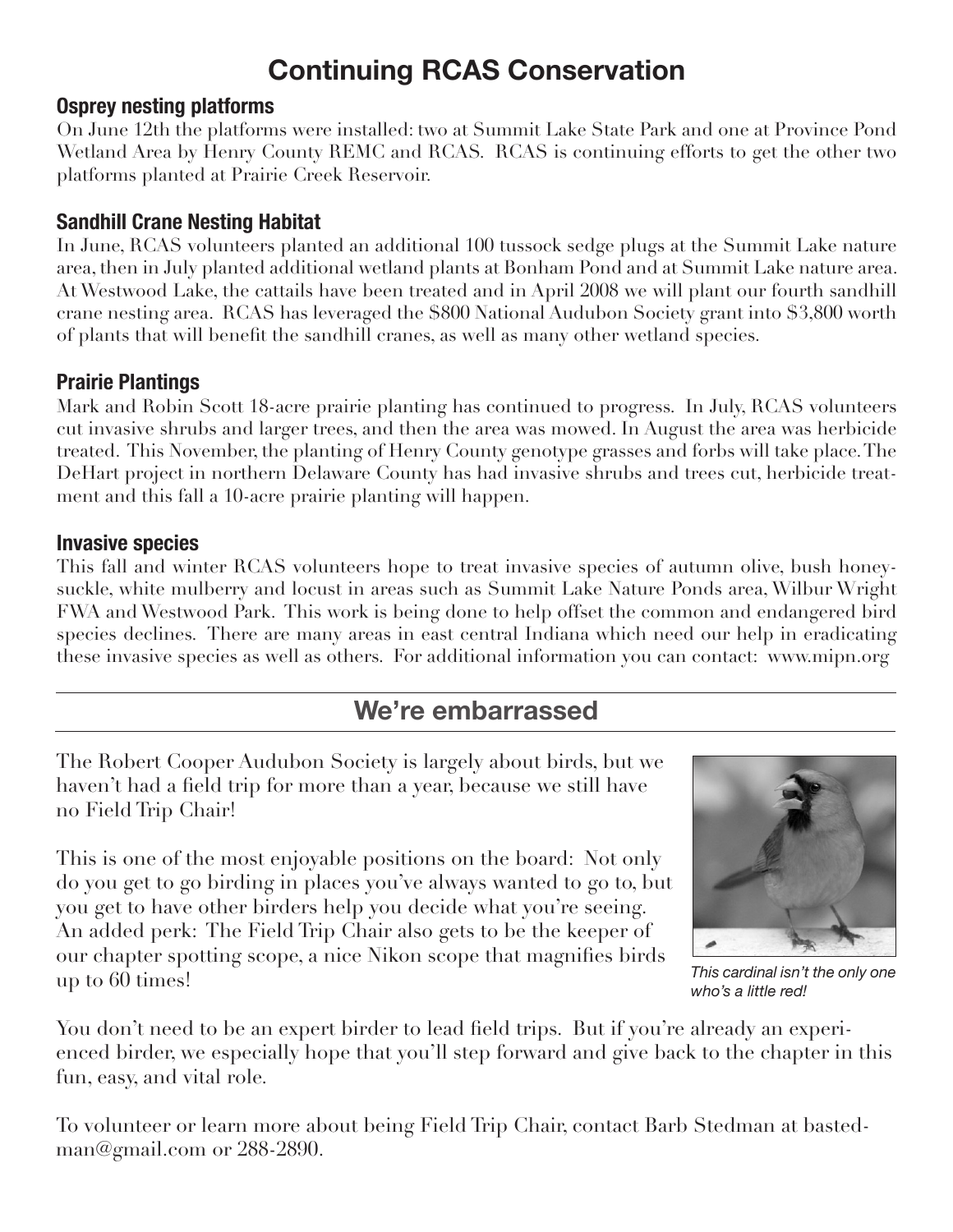## **Continuing RCAS Conservation**

#### **Osprey nesting platforms**

On June 12th the platforms were installed: two at Summit Lake State Park and one at Province Pond Wetland Area by Henry County REMC and RCAS. RCAS is continuing efforts to get the other two platforms planted at Prairie Creek Reservoir.

#### **Sandhill Crane Nesting Habitat**

In June, RCAS volunteers planted an additional 100 tussock sedge plugs at the Summit Lake nature area, then in July planted additional wetland plants at Bonham Pond and at Summit Lake nature area. At Westwood Lake, the cattails have been treated and in April 2008 we will plant our fourth sandhill crane nesting area. RCAS has leveraged the \$800 National Audubon Society grant into \$3,800 worth of plants that will benefit the sandhill cranes, as well as many other wetland species.

#### **Prairie Plantings**

Mark and Robin Scott 18-acre prairie planting has continued to progress. In July, RCAS volunteers cut invasive shrubs and larger trees, and then the area was mowed. In August the area was herbicide treated. This November, the planting of Henry County genotype grasses and forbs will take place. The DeHart project in northern Delaware County has had invasive shrubs and trees cut, herbicide treatment and this fall a 10-acre prairie planting will happen.

#### **Invasive species**

This fall and winter RCAS volunteers hope to treat invasive species of autumn olive, bush honeysuckle, white mulberry and locust in areas such as Summit Lake Nature Ponds area, Wilbur Wright FWA and Westwood Park. This work is being done to help offset the common and endangered bird species declines. There are many areas in east central Indiana which need our help in eradicating these invasive species as well as others. For additional information you can contact: www.mipn.org

### **We're embarrassed**

The Robert Cooper Audubon Society is largely about birds, but we haven't had a field trip for more than a year, because we still have no Field Trip Chair!

This is one of the most enjoyable positions on the board: Not only do you get to go birding in places you've always wanted to go to, but you get to have other birders help you decide what you're seeing. An added perk: The Field Trip Chair also gets to be the keeper of our chapter spotting scope, a nice Nikon scope that magnifies birds up to 60 times!



*This cardinal isn't the only one who's a little red!*

You don't need to be an expert birder to lead field trips. But if you're already an experienced birder, we especially hope that you'll step forward and give back to the chapter in this fun, easy, and vital role.

To volunteer or learn more about being Field Trip Chair, contact Barb Stedman at bastedman@gmail.com or 288-2890.